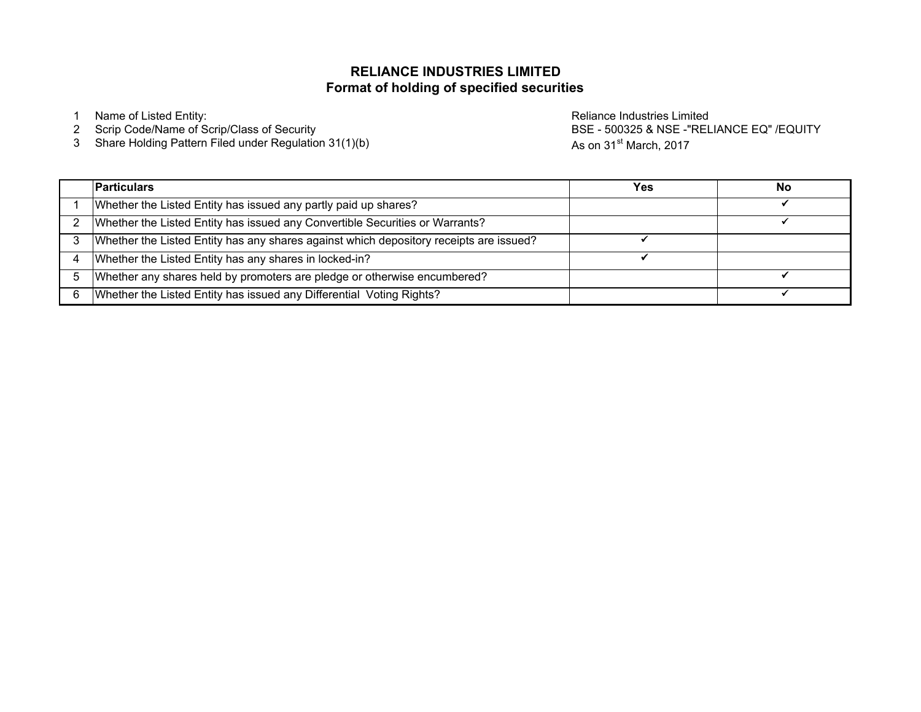# **Format of holding of specified securitiesRELIANCE INDUSTRIES LIMITED**

<sup>3</sup> Share Holding Pattern Filed under Regulation 31(1)(b)

1 Name of Listed Entity:<br>2 Scrip Code/Name of Scrip/Class of Security National Code of Security Reliance Industries Limited BSE - 500325<br>2 Scrip Code/Name of Scrip/Class of Security National Code of Security Reliance Indus BSE - 500325 & NSE -"RELIANCE EQ" /EQUITYAs on 31<sup>st</sup> March, 2017

|   | <b>Particulars</b>                                                                     | Yes | No |
|---|----------------------------------------------------------------------------------------|-----|----|
|   | Whether the Listed Entity has issued any partly paid up shares?                        |     |    |
|   | Whether the Listed Entity has issued any Convertible Securities or Warrants?           |     |    |
|   | Whether the Listed Entity has any shares against which depository receipts are issued? |     |    |
|   | Whether the Listed Entity has any shares in locked-in?                                 |     |    |
| 5 | Whether any shares held by promoters are pledge or otherwise encumbered?               |     |    |
| 6 | Whether the Listed Entity has issued any Differential Voting Rights?                   |     |    |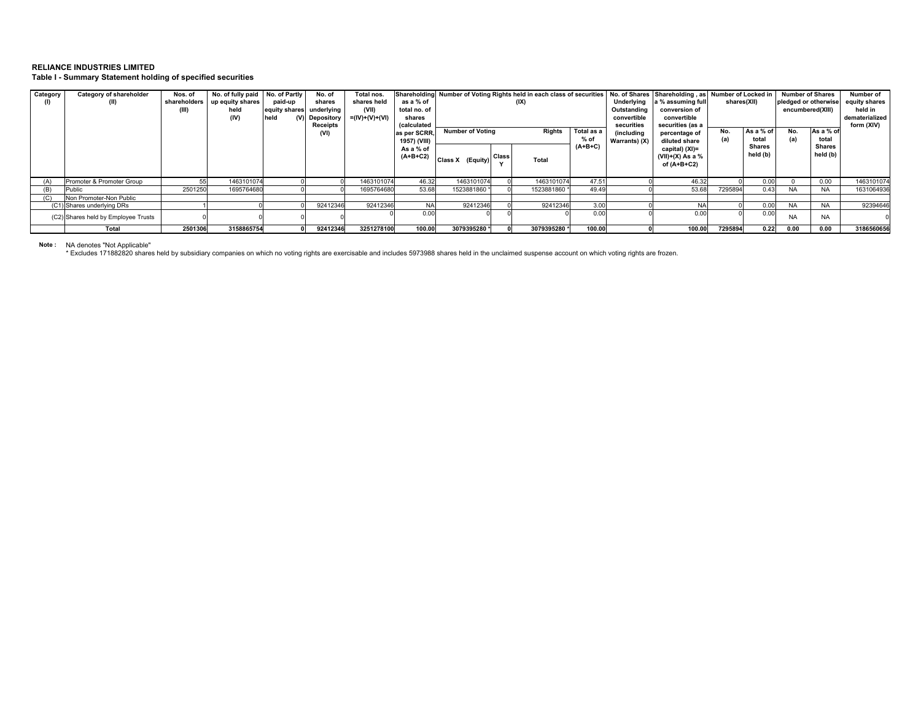**Table I - Summary Statement holding of specified securities**

| Category | Category of shareholder             | Nos. of | No. of fully paid No. of Partly |               | No. of     | Total nos.     | Shareholding               |                                                 |              | Number of Voting Rights held in each class of securities |            |                                | No. of Shares Shareholding, as Number of Locked in |                        |             | <b>Number of Shares</b> |               | Number of      |
|----------|-------------------------------------|---------|---------------------------------|---------------|------------|----------------|----------------------------|-------------------------------------------------|--------------|----------------------------------------------------------|------------|--------------------------------|----------------------------------------------------|------------------------|-------------|-------------------------|---------------|----------------|
|          | (II)                                |         | shareholders up equity shares   | paid-up       | shares     | shares held    | as a % of                  | (IX)                                            |              |                                                          |            | Underlying                     | a % assuming full                                  |                        | shares(XII) | pledged or otherwise    | equity shares |                |
|          |                                     | (III)   | held                            | equity shares | underlying | (VII)          | total no. of               |                                                 |              |                                                          |            | Outstanding                    | conversion of                                      |                        |             | encumbered(XIII)        | held in       |                |
|          |                                     |         | (IV)                            | held          | Depository | =(IV)+(V)+(VI) | shares                     |                                                 |              |                                                          |            | convertible                    | convertible                                        |                        |             |                         |               | dematerialized |
|          |                                     |         |                                 |               | Receipts   |                | <i><b>(calculated)</b></i> |                                                 |              |                                                          |            | securities                     | securities (as a                                   |                        |             |                         | As a % of     | form (XIV)     |
|          |                                     |         |                                 |               | (VI)       |                | as per SCRR.               | Total as a<br><b>Number of Voting</b><br>Rights |              |                                                          | (including | percentage of                  | No.                                                | As a % of              | No.         | total                   |               |                |
|          |                                     |         |                                 |               |            |                | 1957) (VIII)               |                                                 |              | % of                                                     |            | Warrants) (X)<br>diluted share |                                                    | (a)<br>total<br>Shares |             | (a)                     | Shares        |                |
|          |                                     |         |                                 |               |            |                | As a % of                  |                                                 |              |                                                          | $(A+B+C)$  |                                | capital) (XI)=                                     |                        | held (b)    |                         | held (b)      |                |
|          |                                     |         |                                 |               |            |                | $(A+B+C2)$                 | Class X (Equity)                                | <b>Class</b> | Total                                                    |            |                                | (VII)+(X) As a %                                   |                        |             |                         |               |                |
|          |                                     |         |                                 |               |            |                |                            |                                                 |              |                                                          |            |                                | of (A+B+C2)                                        |                        |             |                         |               |                |
|          |                                     |         |                                 |               |            |                |                            |                                                 |              |                                                          |            |                                |                                                    |                        |             |                         |               |                |
|          | Promoter & Promoter Group           | 55      | 1463101074                      |               |            | 1463101074     | 46.32                      | 1463101074                                      |              | 1463101074                                               | 47.51      |                                | 46.32                                              |                        | 0.00        |                         | 0.00          | 1463101074     |
|          | Public                              | 2501250 | 1695764680                      |               |            | 1695764680     | 53.68                      | 1523881860                                      |              | 1523881860 *                                             | 49.49      |                                | 53.68                                              | 7295894                | 0.43        | <b>NA</b>               |               | 1631064936     |
|          | Non Promoter-Non Public             |         |                                 |               |            |                |                            |                                                 |              |                                                          |            |                                |                                                    |                        |             |                         |               |                |
|          | (C1) Shares underlying DRs          |         |                                 |               | 92412346   | 92412346       | <b>NA</b>                  | 92412346                                        |              | 92412346                                                 | 3.00       |                                |                                                    |                        | 0.00        | <b>NA</b>               |               | 92394646       |
|          | (C2) Shares held by Employee Trusts |         |                                 |               |            |                | 0.00                       |                                                 |              |                                                          | 0.00       |                                | 0.00                                               |                        | 0.00        | <b>NA</b>               | <b>NA</b>     |                |
|          |                                     |         |                                 |               |            |                |                            |                                                 |              |                                                          |            |                                |                                                    |                        |             |                         |               |                |
|          | Total                               | 2501306 | 3158865754                      |               | 92412346   | 3251278100     | 100.00                     | 3079395280 *                                    |              | 3079395280 *                                             | 100.00     |                                | 100.00                                             | 7295894                | 0.22        | 0.00                    | 0.00          | 3186560656     |

Note : NA denotes "Not Applicable"<br>\* Excludes 171882820 shares held by subsidiary companies on which no voting rights are exercisable and includes 5973988 shares held in the unclaimed suspense account on which voting ri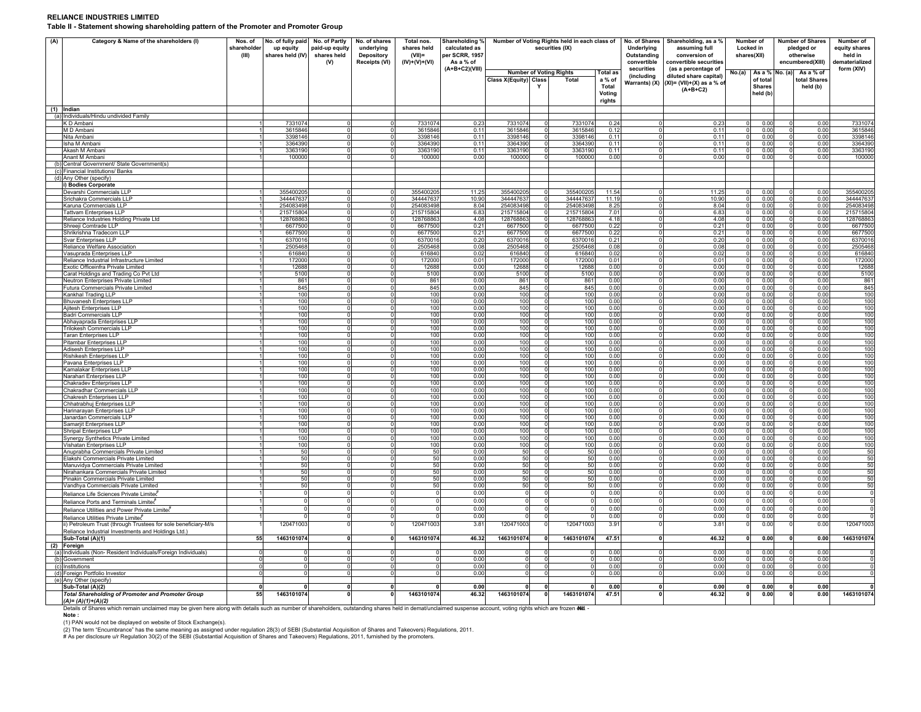**Table II - Statement showing shareholding pattern of the Promoter and Promoter Group**

| (A) | Category & Name of the shareholders (I)<br>Nos. of<br>shareholder<br>(III)                                           | No. of fully paid<br>up equity<br>shares held (IV) | No. of Partly<br>paid-up equity<br>shares held<br>(V) | No. of shares<br>underlying<br>Depository<br>Receipts (VI) | Total nos.<br>shares held<br>$(VII)$ =<br>$(IV)+(V)+(VI)$ | Shareholding %<br>calculated as<br>per SCRR, 1957<br>As a % of |                            | Number of Voting Rights held in each class of<br>securities (IX) |                                         |                                                               | No. of Shares<br><b>Underlying</b><br>Outstanding<br>convertible | Shareholding, as a %<br>assuming full<br>conversion of<br>convertible securities            | Number of<br>Locked in<br>shares(XII)           | <b>Number of Shares</b><br>pledged or<br>otherwise<br>encumbered(XIII) |                                       | Number of<br>equity shares<br>held in<br>dematerialized |
|-----|----------------------------------------------------------------------------------------------------------------------|----------------------------------------------------|-------------------------------------------------------|------------------------------------------------------------|-----------------------------------------------------------|----------------------------------------------------------------|----------------------------|------------------------------------------------------------------|-----------------------------------------|---------------------------------------------------------------|------------------------------------------------------------------|---------------------------------------------------------------------------------------------|-------------------------------------------------|------------------------------------------------------------------------|---------------------------------------|---------------------------------------------------------|
|     |                                                                                                                      |                                                    |                                                       |                                                            |                                                           | (A+B+C2)(VIII)                                                 | Class X(Equity) Class      | Y                                                                | <b>Number of Voting Rights</b><br>Total | <b>Total as</b><br>a % of<br><b>Total</b><br>Voting<br>rights | securities<br>(including<br>Warrants) (X)                        | (as a percentage of<br>diluted share capital)<br>$(XI) = (VII)+(X)$ as a % of<br>$(A+B+C2)$ | No.(a)<br>of total<br><b>Shares</b><br>held (b) | As a % No. (a)                                                         | As a % of<br>total Shares<br>held (b) | form (XIV)                                              |
|     | (1) Indian                                                                                                           |                                                    |                                                       |                                                            |                                                           |                                                                |                            |                                                                  |                                         |                                                               |                                                                  |                                                                                             |                                                 |                                                                        |                                       |                                                         |
|     | (a) Individuals/Hindu undivided Family<br>K D Ambani                                                                 | 7331074                                            |                                                       |                                                            | 7331074                                                   | 0.23                                                           | 7331074                    | $\mathbf 0$                                                      | 7331074                                 | 0.24                                                          |                                                                  | 0.23                                                                                        | $\Omega$                                        | 0.00                                                                   | 0.00                                  | 7331074                                                 |
|     | M D Ambani                                                                                                           | 3615846                                            |                                                       |                                                            | 3615846                                                   | 0.11                                                           | 3615846                    | $\mathbf 0$                                                      | 3615846                                 | 0.12                                                          |                                                                  | 0.11                                                                                        | $\mathbf 0$                                     | 0.00                                                                   | 0.00<br>$\Omega$                      | 3615846                                                 |
|     | Nita Ambani<br>Isha M Amban                                                                                          | 3398146<br>$\blacktriangleleft$<br>3364390         |                                                       | $\Omega$                                                   | 3398146<br>3364390                                        | 0.11<br>0.11                                                   | 3398146<br>3364390         | $\overline{0}$<br>$\overline{0}$                                 | 3398146<br>3364390                      | 0.11<br>0.11                                                  |                                                                  | 0.11<br>0.11                                                                                | $\overline{0}$<br>$\circ$                       | 0.00<br>0.00                                                           | э<br>0.00<br>0.00                     | 3398146<br>3364390                                      |
|     | Akash M Ambani                                                                                                       | 3363190                                            |                                                       |                                                            | 3363190                                                   | 0.11                                                           | 3363190                    | $\circ$                                                          | 3363190                                 | 0.11                                                          |                                                                  | 0.11                                                                                        | $\circ$                                         | 0.00                                                                   | 0.00<br>$\Omega$                      | 3363190                                                 |
|     | Anant M Ambani                                                                                                       | 100000                                             |                                                       |                                                            | 100000                                                    | 0.00                                                           | 100000                     | $\Omega$                                                         | 100000                                  | 0.00                                                          |                                                                  | 0.00                                                                                        | $^{\circ}$                                      | 0.00                                                                   | 0.00                                  | 100000                                                  |
|     | Central Government/ State Government(s)<br>(c) Financial Institutions/ Banks                                         |                                                    |                                                       |                                                            |                                                           |                                                                |                            |                                                                  |                                         |                                                               |                                                                  |                                                                                             |                                                 |                                                                        |                                       |                                                         |
|     | (d) Any Other (specify)                                                                                              |                                                    |                                                       |                                                            |                                                           |                                                                |                            |                                                                  |                                         |                                                               |                                                                  |                                                                                             |                                                 |                                                                        |                                       |                                                         |
|     | i) Bodies Corporate                                                                                                  |                                                    |                                                       |                                                            |                                                           |                                                                |                            |                                                                  |                                         |                                                               |                                                                  |                                                                                             |                                                 |                                                                        |                                       |                                                         |
|     | Devarshi Commercials LLP<br>Srichakra Commercials LLP                                                                | 355400205<br>344447637                             |                                                       |                                                            | 355400205<br>344447637                                    | 11.25<br>10.90                                                 | 355400205<br>344447637     | $\mathbf 0$<br>$\circ$                                           | 355400205<br>344447637                  | 11.54<br>11.19                                                |                                                                  | 11.25<br>10.90                                                                              | $\Omega$<br>$\Omega$                            | 0.00<br>0.00                                                           | 0.00<br>$\Omega$<br>0.00<br>$\Omega$  | 355400205<br>34444763                                   |
|     | Karuna Commercials LLP                                                                                               | 254083498                                          |                                                       |                                                            | 254083498                                                 | 8.04                                                           | 254083498                  | $\overline{\mathbf{0}}$                                          | 25408349                                | 8.25                                                          |                                                                  | 8.04                                                                                        | $\overline{0}$                                  | 0.00                                                                   | 0.00<br>$\Omega$                      | 254083498                                               |
|     | <b>Tattvam Enterprises LLP</b>                                                                                       | 215715804                                          |                                                       |                                                            | 215715804                                                 | 6.83                                                           | 215715804                  | $\Omega$                                                         | 215715804                               | 7.01                                                          |                                                                  | 6.83                                                                                        | $\Omega$                                        | 0.00                                                                   | 0.00                                  | 215715804                                               |
|     | Reliance Industries Holding Private Ltd<br>Shreeji Comtrade LLP                                                      | 128768863<br>6677500                               |                                                       | $\Omega$<br>$\mathbf 0$                                    | 128768863<br>6677500                                      | 4.08<br>0.21                                                   | 128768863<br>6677500       | $\circ$<br>$\mathbf 0$                                           | 128768863<br>667750                     | 4.18<br>0.22                                                  |                                                                  | 4.08<br>0.21                                                                                | $\circ$<br>$\mathbf 0$                          | 0.00<br>0.00                                                           | 0.00<br>$\Omega$<br>0.00<br>$\Omega$  | 128768863<br>6677500                                    |
|     | Shrikrishna Tradecom LLF                                                                                             | 6677500                                            |                                                       | $\Omega$                                                   | 6677500                                                   | 0.21                                                           | 6677500                    | $\circ$                                                          | 6677500                                 | 0.22                                                          |                                                                  | 0.21                                                                                        | $\mathbf 0$                                     | 0.00                                                                   | 0.00                                  | 6677500                                                 |
|     | Svar Enterprises LLP                                                                                                 | $\blacktriangleleft$<br>6370016                    |                                                       | $\Omega$                                                   | 6370016                                                   | 0.20                                                           | 6370016                    | $\overline{0}$                                                   | 637001                                  | 0.21                                                          |                                                                  | 0.20                                                                                        | $\overline{0}$                                  | 0.00                                                                   | 0.00<br>$\Omega$                      | 6370016                                                 |
|     | Reliance Welfare Association                                                                                         | 2505468<br>$\mathbf{1}$                            |                                                       | $\Omega$                                                   | 2505468                                                   | 0.08                                                           | 2505468                    | $\mathbf 0$                                                      | 2505468                                 | 0.08                                                          |                                                                  | 0.08                                                                                        | $\circ$                                         | 0.00                                                                   | 0.00<br>$\Omega$                      | 2505468                                                 |
|     | Vasuprada Enterprises LLP<br>Reliance Industrial Infrastructure Limited                                              | 616840<br>172000                                   |                                                       | $\Omega$                                                   | 616840<br>172000                                          | 0.02<br>0.01                                                   | 616840<br>172000           | $\circ$<br>$\overline{0}$                                        | 616840<br>172000                        | 0.02<br>0.01                                                  |                                                                  | 0.02<br>0.01                                                                                | $\circ$<br>$\Omega$                             | 0.00<br>0.00                                                           | 0.00<br>0.00<br>$\Omega$              | 616840<br>172000                                        |
|     | Exotic Officeinfra Private Limited                                                                                   | 12688                                              |                                                       |                                                            | 12688                                                     | 0.00                                                           | 12688                      | $\circ$                                                          | 1268                                    | 0.00                                                          |                                                                  | 0.00                                                                                        | $\mathbf 0$                                     | 0.00                                                                   | 0.00                                  | 12688                                                   |
|     | Carat Holdings and Trading Co Pvt Ltd                                                                                | 5100<br>1<br>1                                     |                                                       | $\Omega$                                                   | 5100                                                      | 0.00                                                           | 5100                       | $\overline{0}$                                                   | 5100                                    | 0.00                                                          |                                                                  | 0.00                                                                                        | $\Omega$                                        | 0.00                                                                   | $\Omega$<br>0.00                      | 5100                                                    |
|     | Neutron Enterprises Private Limited<br>Futura Commercials Private Limited                                            | 861<br>845                                         |                                                       |                                                            | 861<br>845                                                | 0.00<br>0.00                                                   | 861<br>845                 | $\overline{0}$<br>$\circ$                                        | 861<br>845                              | 0.00<br>0.00                                                  |                                                                  | 0.00<br>0.00                                                                                | $\Omega$<br>$\circ$                             | 0.00<br>0.00                                                           | 0.00<br>$\Omega$<br>0.00<br>0         | 861<br>845                                              |
|     | Kankhal Trading LLP                                                                                                  | 100                                                |                                                       |                                                            | 100                                                       | 0.00                                                           | 100                        | $\mathbf 0$                                                      | 100                                     | 0.00                                                          |                                                                  | 0.00                                                                                        | $^{\circ}$                                      | 0.00                                                                   | 0.00<br>$\Omega$                      | 100                                                     |
|     | <b>Bhuvanesh Enterprises LLP</b>                                                                                     | 100                                                |                                                       |                                                            | 100                                                       | 0.00                                                           | 100                        | $\circ$                                                          | 100                                     | 0.00                                                          |                                                                  | 0.00                                                                                        | $\circ$                                         | 0.00                                                                   | $\Omega$<br>0.00                      | 100                                                     |
|     | Ajitesh Enterprises LLP<br>Badri Commercials LLP                                                                     | 100<br>$\overline{1}$<br>100                       |                                                       | $\Omega$                                                   | 100<br>100                                                | 0.00<br>0.00                                                   | 100<br>100                 | $\circ$<br>$\mathbf 0$                                           | 100<br>100                              | 0.00<br>0.00                                                  |                                                                  | 0.00<br>0.00                                                                                | $\overline{0}$<br>$\overline{0}$                | 0.00<br>0.00                                                           | $\Omega$<br>0.00<br>0.00              | 100<br>100                                              |
|     | Abhayaprada Enterprises LLP                                                                                          | 100<br>1                                           |                                                       |                                                            | 100                                                       | 0.00                                                           | 100                        | $^{\circ}$                                                       | 100                                     | 0.00                                                          |                                                                  | 0.00                                                                                        | $\overline{0}$                                  | 0.00                                                                   | 0.00<br>$\Omega$                      | 100                                                     |
|     | Trilokesh Commercials LLP                                                                                            | 100                                                |                                                       |                                                            | 100                                                       | 0.00                                                           | 100                        | $\mathbf 0$                                                      | 100                                     | 0.00                                                          |                                                                  | 0.00                                                                                        | $\mathbf 0$                                     | 0.00                                                                   | 0.00                                  | 100                                                     |
|     | <b>Taran Enterprises LLP</b><br>Pitambar Enterprises LLP                                                             | 100<br>100                                         |                                                       |                                                            | 100<br>100                                                | 0.00<br>0.00                                                   | 100<br>100                 | $\overline{0}$<br>$\overline{0}$                                 | 100<br>100                              | 0.00<br>0.00                                                  |                                                                  | 0.00<br>0.00                                                                                | $\Omega$<br>$\overline{0}$                      | 0.00<br>0.00                                                           | 0.00<br>$\Omega$<br>0.00<br>$\Omega$  | 100<br>100                                              |
|     | Adisesh Enterprises LLP                                                                                              | 100                                                |                                                       |                                                            | 100                                                       | 0.00                                                           | 100                        | $\circ$                                                          | 100                                     | 0.00                                                          |                                                                  | 0.00                                                                                        | $\circ$                                         | 0.00                                                                   | 0.00<br>$^{\circ}$                    | 100                                                     |
|     | <b>Rishikesh Enterprises LLF</b>                                                                                     | 100                                                |                                                       |                                                            | 100                                                       | 0.00                                                           | 100                        | $^{\circ}$                                                       | 100                                     | 0.00                                                          |                                                                  | 0.00                                                                                        | $\circ$                                         | 0.00                                                                   | 0.00<br>$\Omega$                      | 100                                                     |
|     | Pavana Enterprises LLP                                                                                               | 100<br>100                                         |                                                       |                                                            | 100<br>100                                                | 0.00                                                           | 100                        | $\mathbf 0$<br>$\mathbf 0$                                       | 100<br>100                              | 0.00                                                          |                                                                  | 0.00                                                                                        | $\circ$<br>$\circ$                              | 0.00<br>0.00                                                           | 0.00<br>$\Omega$<br>0.00<br>$\Omega$  | 100<br>100                                              |
|     | Kamalakar Enterprises LLP<br>Narahari Enterprises LLP                                                                | 100                                                |                                                       |                                                            | 100                                                       | 0.00<br>0.00                                                   | 100<br>100                 | $\overline{0}$                                                   | 100                                     | 0.00<br>0.00                                                  |                                                                  | 0.00<br>0.00                                                                                | $\overline{0}$                                  | 0.00                                                                   | 0.00<br>$\Omega$                      | 100                                                     |
|     | Chakradev Enterprises LLP                                                                                            | 100                                                |                                                       | $\Omega$                                                   | 100                                                       | 0.00                                                           | 100                        | $\mathbf 0$                                                      | 100                                     | 0.00                                                          |                                                                  | 0.00                                                                                        | $\circ$                                         | 0.00                                                                   | 0.00<br>$\Omega$                      | 100                                                     |
|     | Chakradhar Commercials LLP                                                                                           | 100<br>$\mathbf{1}$                                |                                                       | $\Omega$                                                   | 100                                                       | 0.00                                                           | 100                        | $\circ$                                                          | 100                                     | 0.00                                                          |                                                                  | 0.00                                                                                        | $\Omega$                                        | 0.00                                                                   | 0.00<br>$\mathbf 0$                   | 100                                                     |
|     | Chakresh Enterprises LLP<br>Chhatrabhuj Enterprises LLP                                                              | 100<br>100<br>$\mathbf{1}$                         |                                                       | $\Omega$                                                   | 100<br>100                                                | 0.00<br>0.00                                                   | 100<br>100                 | $\mathbf 0$<br>$\circ$                                           | 100<br>100                              | 0.00<br>0.00                                                  |                                                                  | 0.00<br>0.00                                                                                | $\Omega$                                        | 0.00<br>0.00                                                           | 0.00<br>$\Omega$<br>0.00              | 100<br>100                                              |
|     | Harinarayan Enterprises LLP                                                                                          | 100                                                |                                                       |                                                            | 100                                                       | 0.00                                                           | 100                        | $\mathbf 0$                                                      | 100                                     | 0.00                                                          |                                                                  | 0.00                                                                                        | $\circ$                                         | 0.00                                                                   | 0.00<br>$\Omega$                      | 100                                                     |
|     | Janardan Commercials LLP<br>Samariit Enterprises LLP                                                                 | 100<br>100                                         |                                                       |                                                            | 100<br>100                                                | 0.00<br>0.00                                                   | 100<br>100                 | $\mathbf 0$<br>$\mathbf 0$                                       | 100<br>100                              | 0.00<br>0.00                                                  |                                                                  | 0.00<br>0.00                                                                                | $\circ$                                         | 0.00<br>0.00                                                           | 0.00<br>0.00<br>$\Omega$              | 100<br>100                                              |
|     | Shripal Enterprises LLP                                                                                              | 100                                                |                                                       | 0                                                          | 100                                                       | 0.00                                                           | 100                        | 0                                                                | 100                                     | 0.00                                                          |                                                                  | 0.00                                                                                        | -01<br>$\circ$                                  | 0.00                                                                   | 0.00                                  | 100                                                     |
|     | Synergy Synthetics Private Limited                                                                                   | 100                                                |                                                       |                                                            | 100                                                       | 0.00                                                           | 100                        | $\mathbf 0$                                                      | 100                                     | 0.00                                                          |                                                                  | 0.00                                                                                        | $\overline{0}$                                  | 0.00                                                                   | 0.00                                  | 100                                                     |
|     | Vishatan Enterprises LLP                                                                                             | 100                                                |                                                       |                                                            | 100                                                       | 0.00                                                           | 100                        | $\Omega$                                                         | 100                                     | 0.00                                                          |                                                                  | 0.00                                                                                        | $\Omega$                                        | 0.00                                                                   | 0.00                                  | 100                                                     |
|     | Anuprabha Commercials Private Limited<br>Flakshi Commercials Private Limited                                         | 50<br>50                                           |                                                       | $\Omega$                                                   | 50<br>50                                                  | 0.00<br>0.00                                                   | 50<br>50                   | $\circ$<br>$\circ$                                               | 50<br>50                                | 0.00<br>0.00                                                  |                                                                  | 0.00<br>0.00                                                                                | $\circ$<br>$^{\circ}$                           | 0.00<br>0.00                                                           | 0.00<br>O<br>0.00<br>$\Omega$         | 50                                                      |
|     | Manuvidya Commercials Private Limited                                                                                | -50                                                |                                                       |                                                            | 50                                                        | 0.00                                                           | 50                         | $\overline{0}$                                                   | 50                                      | 0.00                                                          |                                                                  | 0.00                                                                                        | $\mathbf 0$                                     | 0.00                                                                   | 0.00<br>0                             | $\frac{50}{50}$                                         |
|     | Nirahankara Commercials Private Limited                                                                              | 50<br>$\blacktriangleleft$                         |                                                       | $\Omega$                                                   | 50                                                        | 0.00                                                           | 50                         | $\overline{0}$                                                   | 50                                      | 0.00                                                          | $\Omega$                                                         | 0.00                                                                                        | $\overline{0}$                                  | 0.00                                                                   | $\overline{0}$<br>0.00                | 50                                                      |
|     | Pinakin Commercials Private Limited<br>Vandhya Commercials Private Limited                                           | 50<br>50                                           |                                                       |                                                            | 50<br>50                                                  | 0.00<br>0.00                                                   | 50<br>50                   | $\mathbf 0$<br>$\mathbf 0$                                       | 50<br>50                                | 0.00<br>0.00                                                  |                                                                  | 0.00<br>0.00                                                                                | $\Omega$<br>$\overline{0}$                      | 0.00<br>0.00                                                           | $\Omega$<br>0.00<br>0.00<br>$\Omega$  | $\frac{50}{50}$                                         |
|     | Reliance Life Sciences Private Limited                                                                               | 0                                                  |                                                       |                                                            | $^{\circ}$                                                | 0.00                                                           | $\circ$                    | 0                                                                | C                                       | 0.00                                                          |                                                                  | 0.00                                                                                        | $\mathbf 0$                                     | 0.00                                                                   | 0.00<br>$^{\circ}$                    |                                                         |
|     | Reliance Ports and Terminals Limited                                                                                 | $\Omega$                                           |                                                       |                                                            | $\Omega$                                                  | 0.00                                                           | $\circ$                    | $\mathbf 0$                                                      | C                                       | 0.00                                                          |                                                                  | 0.00                                                                                        | $^{\circ}$                                      | 0.00                                                                   | 0.00<br>$\Omega$                      |                                                         |
|     | Reliance Utilities and Power Private Limiter                                                                         | 0                                                  |                                                       |                                                            | $\circ$                                                   | 0.00                                                           | $\circ$                    | $\mathbf 0$                                                      |                                         | 0.00                                                          |                                                                  | 0.00                                                                                        | $^{\circ}$                                      | 0.00                                                                   | 0.00<br>$\Omega$                      |                                                         |
|     | Reliance Utilities Private Limited                                                                                   | $\Omega$                                           |                                                       |                                                            | $\mathbf 0$                                               | 0.00                                                           | $\Omega$                   | $\mathbf 0$                                                      |                                         | 0.00                                                          |                                                                  | 0.00                                                                                        | $\overline{0}$                                  | 0.00                                                                   | 0.00<br>$\Omega$                      |                                                         |
|     | ii) Petroleum Trust (through Trustees for sole beneficiary-M/s<br>Reliance Industrial Investments and Holdings Ltd.) | 120471003                                          |                                                       |                                                            | 120471003                                                 | 3.81                                                           | 120471003                  | $\Omega$                                                         | 120471003                               | 3.91                                                          |                                                                  | 3.81                                                                                        | $\mathbf 0$                                     | 0.00                                                                   | 0.00                                  | 120471003                                               |
|     | Sub-Total (A)(1)<br>55                                                                                               | 1463101074                                         |                                                       | $\mathbf{0}$                                               | 1463101074                                                | 46.32                                                          | 1463101074                 | $\mathbf{0}$                                                     | 1463101074                              | 47.51                                                         |                                                                  | 46.32                                                                                       | $\Omega$                                        | 0.00                                                                   | 0.00<br>$\mathbf{0}$                  | 1463101074                                              |
|     | (2) Foreign                                                                                                          |                                                    |                                                       |                                                            |                                                           |                                                                |                            |                                                                  |                                         |                                                               |                                                                  |                                                                                             |                                                 |                                                                        |                                       |                                                         |
|     | (a) Individuals (Non-Resident Individuals/Foreign Individuals)<br>$\mathbf 0$<br>(b) Government                      | $\overline{0}$<br>$\overline{0}$                   |                                                       |                                                            | n.                                                        | 0.00<br>0.00                                                   | $\Omega$<br>$\overline{0}$ | $\overline{0}$                                                   |                                         | 0.00<br>0.00                                                  |                                                                  | 0.00<br>0.00                                                                                | $\overline{0}$                                  | 0.00<br>0.00                                                           | 0.00<br>0.00<br>$\Omega$              |                                                         |
|     | (c) Institutions                                                                                                     | $\mathbf 0$<br>0                                   |                                                       | $\Omega$                                                   | $\mathbf{0}$                                              | 0.00                                                           | $\circ$                    | $\mathbf 0$                                                      |                                         | 0.00                                                          |                                                                  | 0.00                                                                                        | $\circ$                                         | 0.00                                                                   | 0.00<br>$\mathbf 0$                   |                                                         |
|     | (d) Foreign Portfolio Investor<br>$\mathbf 0$                                                                        | $\Omega$                                           |                                                       | $\Omega$                                                   | $\Omega$                                                  | 0.00                                                           | $\circ$                    | $\mathbf 0$                                                      |                                         | 0.00                                                          | $\Omega$                                                         | 0.00                                                                                        | $\overline{0}$                                  | 0.00                                                                   | 0.00<br>$\Omega$                      |                                                         |
|     | (e) Any Other (specify)<br>$\mathbf{o}$                                                                              | n                                                  |                                                       | $\mathbf 0$                                                | $\mathbf{0}$                                              | 0.00                                                           | $\mathbf{0}$               |                                                                  |                                         | 0.00                                                          | $\mathbf{0}$                                                     | 0.00                                                                                        | $\mathbf{o}$                                    |                                                                        | $\mathbf 0$<br>0.00                   |                                                         |
|     | Sub-Total (A)(2)<br><b>Total Shareholding of Promoter and Promoter Group</b><br>55<br>$(A) = (A)(1) + (A)(2)$        | 1463101074                                         |                                                       | $\mathbf{0}$                                               | 1463101074                                                | 46.32                                                          | 1463101074                 | 0 <br>$\mathbf 0$                                                | 1463101074                              | 47.51                                                         | 0                                                                | 46.32                                                                                       | $\mathbf{o}$                                    | 0.00<br>0.00                                                           | 0.00<br>$\mathbf{0}$                  | 1463101074                                              |

*(A)= (A)(1)+(A)(2)* **Note :**  Details of Shares which remain unclaimed may be given here along with details such as number of shareholders, outstanding shares held in demat/unclaimed suspense account, voting rights which are frozen **etd.** -<br>Note :<br>(1)

(2) The term "Encumbrance" has the same meaning as assigned under regulation 28(3) of SEBI (Substantial Acquisition of Shares and Takeovers) Regulations, 2011.<br># As per disclosure u/r Regulation 30(2) of the SEBI (Substant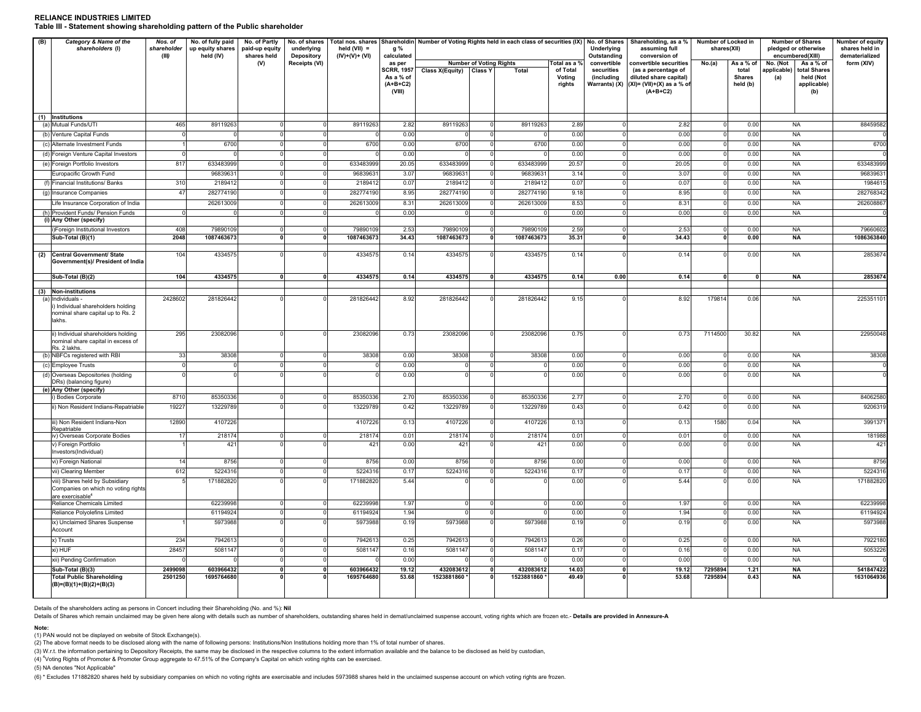#### **RELIANCE INDUSTRIES LIMITEDTable III - Statement showing shareholding pattern of the Public shareholder**

| (B) | Category & Name of the<br>shareholders (I)                                                             | Nos. of<br>No. of fully paid<br>No. of Partly<br>No. of shares<br>Total nos. shares Shareholdin Number of Voting Rights held in each class of securities (IX) No. of Shares<br>shareholder<br>up equity shares<br>underlying<br>held $(VII)$ =<br>paid-up equity<br>g %<br>held (IV)<br>(III)<br>shares held<br><b>Depository</b><br>(IV)+(V)+ (VI)<br>calculated |                         |                    |                      |                         |                                                        |                         |                                |                         |                              | Underlying<br>Outstanding                 | Shareholding, as a %<br>assuming full<br>conversion of                                      | Number of Locked in<br>shares(XII) |                                    | <b>Number of Shares</b><br>pledged or otherwise<br>encumbered(XIII)   | <b>Number of equity</b><br>shares held in<br>dematerialized |
|-----|--------------------------------------------------------------------------------------------------------|-------------------------------------------------------------------------------------------------------------------------------------------------------------------------------------------------------------------------------------------------------------------------------------------------------------------------------------------------------------------|-------------------------|--------------------|----------------------|-------------------------|--------------------------------------------------------|-------------------------|--------------------------------|-------------------------|------------------------------|-------------------------------------------|---------------------------------------------------------------------------------------------|------------------------------------|------------------------------------|-----------------------------------------------------------------------|-------------------------------------------------------------|
|     |                                                                                                        |                                                                                                                                                                                                                                                                                                                                                                   |                         | (V)                | <b>Receipts (VI)</b> |                         | as per                                                 |                         | <b>Number of Voting Rights</b> |                         | Total as a %                 | convertible                               | convertible securities                                                                      |                                    | As a % of                          | No. (Not<br>As a % of                                                 | form (XIV)                                                  |
|     |                                                                                                        |                                                                                                                                                                                                                                                                                                                                                                   |                         |                    |                      |                         | <b>SCRR, 1957</b><br>As a % of<br>$(A+B+C2)$<br>(VIII) | Class X(Equity) Class Y |                                | Total                   | of Total<br>Voting<br>rights | securities<br>(including<br>Warrants) (X) | (as a percentage of<br>diluted share capital)<br>$(XI) = (VII)+(X)$ as a % of<br>$(A+B+C2)$ |                                    | total<br><b>Shares</b><br>held (b) | applicable)<br>total Shares<br>(a)<br>held (Not<br>applicable)<br>(b) |                                                             |
|     | (1) Institutions                                                                                       |                                                                                                                                                                                                                                                                                                                                                                   |                         |                    |                      |                         |                                                        |                         |                                |                         |                              |                                           |                                                                                             |                                    |                                    |                                                                       |                                                             |
|     | (a) Mutual Funds/UTI                                                                                   | 465                                                                                                                                                                                                                                                                                                                                                               | 89119263                | $\Omega$           |                      | 89119263                | 2.82                                                   | 89119263                |                                | 89119263                | 2.89                         | $\Omega$                                  | 2.82                                                                                        |                                    | 0.00                               | <b>NA</b>                                                             | 88459582                                                    |
|     | (b) Venture Capital Funds                                                                              |                                                                                                                                                                                                                                                                                                                                                                   |                         | $\Omega$           |                      |                         | 0.00                                                   |                         |                                |                         | 0.00                         | $\mathbf 0$                               | 0.00                                                                                        |                                    | 0.00                               | <b>NA</b>                                                             |                                                             |
|     | (c) Alternate Investment Funds                                                                         |                                                                                                                                                                                                                                                                                                                                                                   | 6700                    | $\Omega$           |                      | 6700                    | 0.00                                                   | 6700                    | $\Omega$                       | 6700                    | 0.00                         | $\mathbf 0$                               | 0.00                                                                                        | $\Omega$                           | 0.00                               | <b>NA</b>                                                             | 6700                                                        |
|     | (d) Foreign Venture Capital Investors                                                                  |                                                                                                                                                                                                                                                                                                                                                                   |                         | $\mathbf 0$        |                      |                         | 0.00                                                   |                         |                                |                         | 0.00                         | $\mathbf 0$                               | 0.00                                                                                        |                                    | 0.00                               | <b>NA</b>                                                             |                                                             |
|     | (e) Foreign Portfolio Investors                                                                        | 817                                                                                                                                                                                                                                                                                                                                                               | 633483999               | $\overline{0}$     |                      | 633483999               | 20.05                                                  | 633483999               | $\Omega$                       | 633483999               | 20.57                        | $\mathbf{0}$                              | 20.05                                                                                       | $\Omega$                           | 0.00                               | <b>NA</b>                                                             | 633483999                                                   |
|     | Europacific Growth Fund                                                                                |                                                                                                                                                                                                                                                                                                                                                                   | 96839631                | $\Omega$           |                      | 96839631                | 3.07                                                   | 96839631                | $\Omega$                       | 96839631                | 3.14                         | $\mathbf 0$                               | 3.07                                                                                        | $\Omega$                           | 0.00                               | <b>NA</b>                                                             | 96839631                                                    |
|     | (f) Financial Institutions/ Banks                                                                      | 310                                                                                                                                                                                                                                                                                                                                                               | 2189412                 | $\Omega$           |                      | 2189412                 | 0.07                                                   | 2189412                 |                                | 2189412                 | 0.07                         | $\mathbf 0$                               | 0.07                                                                                        |                                    | 0.00                               | <b>NA</b>                                                             | 198461                                                      |
|     | (g) Insurance Companies                                                                                | 47                                                                                                                                                                                                                                                                                                                                                                | 282774190               | $\mathbf 0$        | $\Omega$             | 282774190               | 8.95                                                   | 282774190               | $\Omega$                       | 282774190               | 9.18                         | $\mathbf 0$                               | 8.95                                                                                        | $\Omega$                           | 0.00                               | <b>NA</b>                                                             | 282768342                                                   |
|     | Life Insurance Corporation of India                                                                    |                                                                                                                                                                                                                                                                                                                                                                   | 262613009               | $\Omega$           |                      | 262613009               | 8.31                                                   | 262613009               |                                | 262613009               | 8.53                         | $\mathbf{0}$                              | 8.31                                                                                        |                                    | 0.00                               | <b>NA</b>                                                             | 262608867                                                   |
|     | (h) Provident Funds/ Pension Funds                                                                     | $\Omega$                                                                                                                                                                                                                                                                                                                                                          |                         | $\Omega$           |                      |                         | 0.00                                                   |                         | $\overline{0}$                 |                         | 0.00                         | $\overline{0}$                            | 0.00                                                                                        |                                    | 0.00                               | <b>NA</b>                                                             |                                                             |
|     | (i) Any Other (specify)                                                                                |                                                                                                                                                                                                                                                                                                                                                                   |                         |                    |                      |                         |                                                        |                         |                                |                         |                              |                                           |                                                                                             |                                    |                                    |                                                                       |                                                             |
|     | i)Foreign Institutional Investors                                                                      | 408                                                                                                                                                                                                                                                                                                                                                               | 79890109                | $\mathbf 0$        |                      | 79890109                | 2.53                                                   | 79890109                | $\Omega$                       | 79890109                | 2.59                         | $\mathbf 0$                               | 2.53                                                                                        |                                    | 0.00                               | <b>NA</b>                                                             | 79660602                                                    |
|     | Sub-Total (B)(1)                                                                                       | 2048                                                                                                                                                                                                                                                                                                                                                              | 1087463673              | $\mathbf{0}$       |                      | 1087463673              | 34.43                                                  | 1087463673              | $\mathbf 0$                    | 1087463673              | 35.31                        | $\mathbf 0$                               | 34.43                                                                                       | 0                                  | 0.00                               | <b>NA</b>                                                             | 1086363840                                                  |
|     | (2) Central Government/ State<br>Government(s)/ President of India                                     | 104                                                                                                                                                                                                                                                                                                                                                               | 4334575                 | $\Omega$           |                      | 4334575                 | 0.14                                                   | 4334575                 | $\cap$                         | 4334575                 | 0.14                         |                                           | 0.14                                                                                        |                                    | 0.00                               | <b>NA</b>                                                             | 285367                                                      |
|     | Sub-Total (B)(2)                                                                                       | 104                                                                                                                                                                                                                                                                                                                                                               | 4334575                 | $\mathbf{0}$       | $\mathbf{r}$         | 4334575                 | 0.14                                                   | 4334575                 | $\Omega$                       | 4334575                 | 0.14                         | 0.00                                      | 0.14                                                                                        | $\Omega$                           | $\mathbf{0}$                       | <b>NA</b>                                                             | 2853674                                                     |
|     |                                                                                                        |                                                                                                                                                                                                                                                                                                                                                                   |                         |                    |                      |                         |                                                        |                         |                                |                         |                              |                                           |                                                                                             |                                    |                                    |                                                                       |                                                             |
|     | (3) Non-institutions<br>(a) Individuals                                                                | 2428602                                                                                                                                                                                                                                                                                                                                                           | 281826442               |                    |                      | 281826442               | 8.92                                                   | 281826442               |                                | 281826442               | 9.15                         |                                           | 8.92                                                                                        | 179814                             | 0.06                               | <b>NA</b>                                                             | 225351101                                                   |
|     | i) Individual shareholders holding<br>nominal share capital up to Rs. 2<br>lakhs.                      |                                                                                                                                                                                                                                                                                                                                                                   |                         |                    |                      |                         |                                                        |                         |                                |                         |                              |                                           |                                                                                             |                                    |                                    |                                                                       |                                                             |
|     | ii) Individual shareholders holding<br>nominal share capital in excess of<br>Rs. 2 lakhs.              | 295                                                                                                                                                                                                                                                                                                                                                               | 23082096                |                    |                      | 23082096                | 0.73                                                   | 23082096                | $\Omega$                       | 23082096                | 0.75                         | $\Omega$                                  | 0.73                                                                                        | 7114500                            | 30.82                              | <b>NA</b>                                                             | 22950048                                                    |
|     | (b) NBFCs registered with RBI                                                                          | 33                                                                                                                                                                                                                                                                                                                                                                | 38308                   | $\Omega$           |                      | 38308                   | 0.00                                                   | 38308                   | $\Omega$                       | 38308                   | 0.00                         | $\mathbf{0}$                              | 0.00                                                                                        | $\Omega$                           | 0.00                               | <b>NA</b>                                                             | 38308                                                       |
|     | (c) Employee Trusts                                                                                    | $\Omega$                                                                                                                                                                                                                                                                                                                                                          | $\cap$                  | $\Omega$           |                      | $\Omega$                | 0.00                                                   |                         | $\Gamma$                       | $\Gamma$                | 0.00                         | $\mathbf 0$                               | 0.00                                                                                        | $\Omega$                           | 0.00                               | <b>NA</b>                                                             |                                                             |
|     | (d) Overseas Depositories (holding<br>DRs) (balancing figure)<br>(e) Any Other (specify)               |                                                                                                                                                                                                                                                                                                                                                                   |                         |                    |                      |                         | 0.00                                                   |                         |                                |                         | 0.00                         |                                           | 0.00                                                                                        |                                    | 0.00                               | <b>NA</b>                                                             |                                                             |
|     | i) Bodies Corporate                                                                                    | 8710                                                                                                                                                                                                                                                                                                                                                              | 85350336                | $^{\circ}$         |                      | 85350336                | 2.70                                                   | 85350336                | n                              | 85350336                | 2.77                         | $\mathbf 0$                               | 2.70                                                                                        | $\Omega$                           | 0.00                               | <b>NA</b>                                                             | 84062580                                                    |
|     | ii) Non Resident Indians-Repatriable                                                                   | 19227                                                                                                                                                                                                                                                                                                                                                             | 13229789                | $\Omega$           |                      | 13229789                | 0.42                                                   | 13229789                |                                | 13229789                | 0.43                         | $\Omega$                                  | 0.42                                                                                        |                                    | 0.00                               | <b>NA</b>                                                             | 920631                                                      |
|     |                                                                                                        |                                                                                                                                                                                                                                                                                                                                                                   |                         |                    |                      |                         |                                                        |                         |                                |                         |                              |                                           |                                                                                             |                                    |                                    |                                                                       |                                                             |
|     | iii) Non Resident Indians-Non<br>Repatriable                                                           | 12890                                                                                                                                                                                                                                                                                                                                                             | 4107226                 |                    |                      | 4107226                 | 0.13                                                   | 4107226                 | $\Omega$                       | 4107226                 | 0.13                         | $\mathbf 0$                               | 0.13                                                                                        | 1580                               | 0.04                               | <b>NA</b>                                                             | 3991371                                                     |
|     | iv) Overseas Corporate Bodies                                                                          | 17                                                                                                                                                                                                                                                                                                                                                                | 218174                  | $\Omega$           |                      | 218174                  | 0.01                                                   | 218174                  | $\Omega$                       | 218174                  | 0.01                         | $\mathbf 0$                               | 0.01                                                                                        | $\Omega$                           | 0.00                               | <b>NA</b>                                                             | 181988                                                      |
|     | v) Foreign Portfolio<br>Investors(Individual)                                                          |                                                                                                                                                                                                                                                                                                                                                                   | 421                     |                    |                      | 421                     | 0.00                                                   | 421                     |                                | 421                     | 0.00                         | $\Omega$                                  | 0.00                                                                                        |                                    | 0.00                               | <b>NA</b>                                                             | 421                                                         |
|     | vi) Foreign National                                                                                   | 14                                                                                                                                                                                                                                                                                                                                                                | 8756                    | $\Omega$           |                      | 8756                    | 0.00                                                   | 8756                    |                                | 8756                    | 0.00                         | $\mathbf{0}$                              | 0.00                                                                                        | $\Omega$                           | 0.00                               | <b>NA</b>                                                             | 8756                                                        |
|     | vii) Clearing Member                                                                                   | 612                                                                                                                                                                                                                                                                                                                                                               | 5224316                 | $\Omega$           |                      | 5224316                 | 0.17                                                   | 5224316                 |                                | 5224316                 | 0.17                         | $\mathbf 0$                               | 0.17                                                                                        | $\Omega$                           | 0.00                               | <b>NA</b>                                                             | 5224316                                                     |
|     | viii) Shares held by Subsidiary<br>Companies on which no voting rights<br>are exercisable <sup>4</sup> |                                                                                                                                                                                                                                                                                                                                                                   | 171882820               |                    |                      | 171882820               | 5.44                                                   |                         |                                |                         | 0.00                         | $\Omega$                                  | 5.44                                                                                        |                                    | 0.00                               | <b>NA</b>                                                             | 171882820                                                   |
|     | Reliance Chemicals Limited                                                                             |                                                                                                                                                                                                                                                                                                                                                                   | 62239998                | $\mathbf 0$        |                      | 62239998                | 1.97                                                   |                         |                                |                         | 0.00                         | $\mathbf 0$                               | 1.97                                                                                        | $\Omega$                           | 0.00                               | <b>NA</b>                                                             | 62239998                                                    |
|     | Reliance Polyolefins Limited                                                                           |                                                                                                                                                                                                                                                                                                                                                                   | 61194924                | $\overline{0}$     |                      | 61194924                | 1.94                                                   |                         |                                |                         | 0.00                         | $\overline{0}$                            | 1.94                                                                                        | $\Omega$                           | 0.00                               | <b>NA</b>                                                             | 61194924                                                    |
|     | ix) Unclaimed Shares Suspense<br>Account                                                               |                                                                                                                                                                                                                                                                                                                                                                   | 5973988                 | $\Omega$           |                      | 5973988                 | 0.19                                                   | 5973988                 |                                | 5973988                 | 0.19                         | $\mathbf 0$                               | 0.19                                                                                        |                                    | 0.00                               | <b>NA</b>                                                             | 5973988                                                     |
|     | x) Trusts                                                                                              | 234                                                                                                                                                                                                                                                                                                                                                               | 7942613                 | $^{\circ}$         |                      | 7942613                 | 0.25                                                   | 7942613                 |                                | 7942613                 | 0.26                         | $\mathbf 0$                               | 0.25                                                                                        | $\Omega$                           | 0.00                               | <b>NA</b>                                                             | 7922180                                                     |
|     | xi) HUF                                                                                                | 28457                                                                                                                                                                                                                                                                                                                                                             | 5081147                 | $\Omega$           |                      | 5081147                 | 0.16                                                   | 5081147                 | $\Omega$                       | 5081147                 | 0.17                         | $\mathbf{0}$                              | 0.16                                                                                        | $\Omega$                           | 0.00                               | <b>NA</b>                                                             | 5053226                                                     |
|     | xii) Pending Confirmation                                                                              |                                                                                                                                                                                                                                                                                                                                                                   |                         | $\overline{0}$     |                      |                         | 0.00                                                   |                         | $\Gamma$                       |                         | 0.00                         | $\mathbf 0$                               | 0.00                                                                                        |                                    | 0.00                               | <b>NA</b>                                                             |                                                             |
|     | Sub-Total (B)(3)<br><b>Total Public Shareholding</b><br>$(B)=(B)(1)+(B)(2)+(B)(3)$                     | 2499098<br>2501250                                                                                                                                                                                                                                                                                                                                                | 603966432<br>1695764680 | $\pmb{\mathsf{o}}$ | $\mathbf{r}$         | 603966432<br>1695764680 | 19.12<br>53.68                                         | 432083612<br>1523881860 | $\mathbf{0}$                   | 432083612<br>1523881860 | 14.03<br>49.49               | $\pmb{\mathsf{o}}$                        | 19.12<br>53.68                                                                              | 7295894<br>7295894                 | 1.21<br>0.43                       | <b>NA</b><br>NA                                                       | 541847422<br>1631064936                                     |

Details of the shareholders acting as persons in Concert including their Shareholding (No. and %): **Nil**

Details of Shares which remain unclaimed may be given here along with details such as number of shareholders, outstanding shares held in demat/unclaimed suspense account, voting rights which are frozen etc.- Details are pr

**Note:**<br>(1) PAN would not be displayed on website of Stock Exchange(s).<br>(2) The above format needs to be disclosed along with the name of following persons: Institutions/Non Institutions holding more than 1% of total numbe

(3) W.r.t. the information pertaining to Depository Receipts, the same may be disclosed in the respective columns to the extent information available and the balance to be disclosed as held by custodian,

(4) <sup>4</sup>Voting Rights of Promoter & Promoter Group aggregate to 47.51% of the Company's Capital on which voting rights can be exercised.

(5) NA denotes "Not Applicable"

(6) \* Excludes 171882820 shares held by subsidiary companies on which no voting rights are exercisable and includes 5973988 shares held in the unclaimed suspense account on which voting rights are frozen.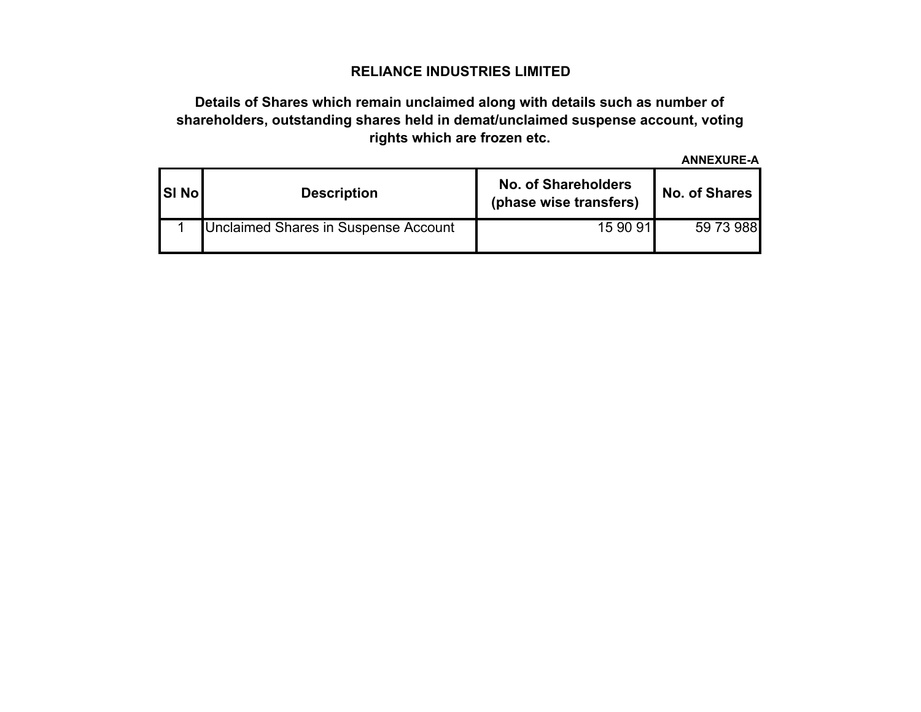# **Details of Shares which remain unclaimed along with details such as number of shareholders, outstanding shares held in demat/unclaimed suspense account, voting rights which are frozen etc.**

**ANNEXURE-A**

| <b>SI No</b> | <b>Description</b>                   | <b>No. of Shareholders</b><br>(phase wise transfers) | <b>No. of Shares</b> |  |  |  |  |  |
|--------------|--------------------------------------|------------------------------------------------------|----------------------|--|--|--|--|--|
|              | Unclaimed Shares in Suspense Account | 15 90 91                                             | 59 73 988            |  |  |  |  |  |